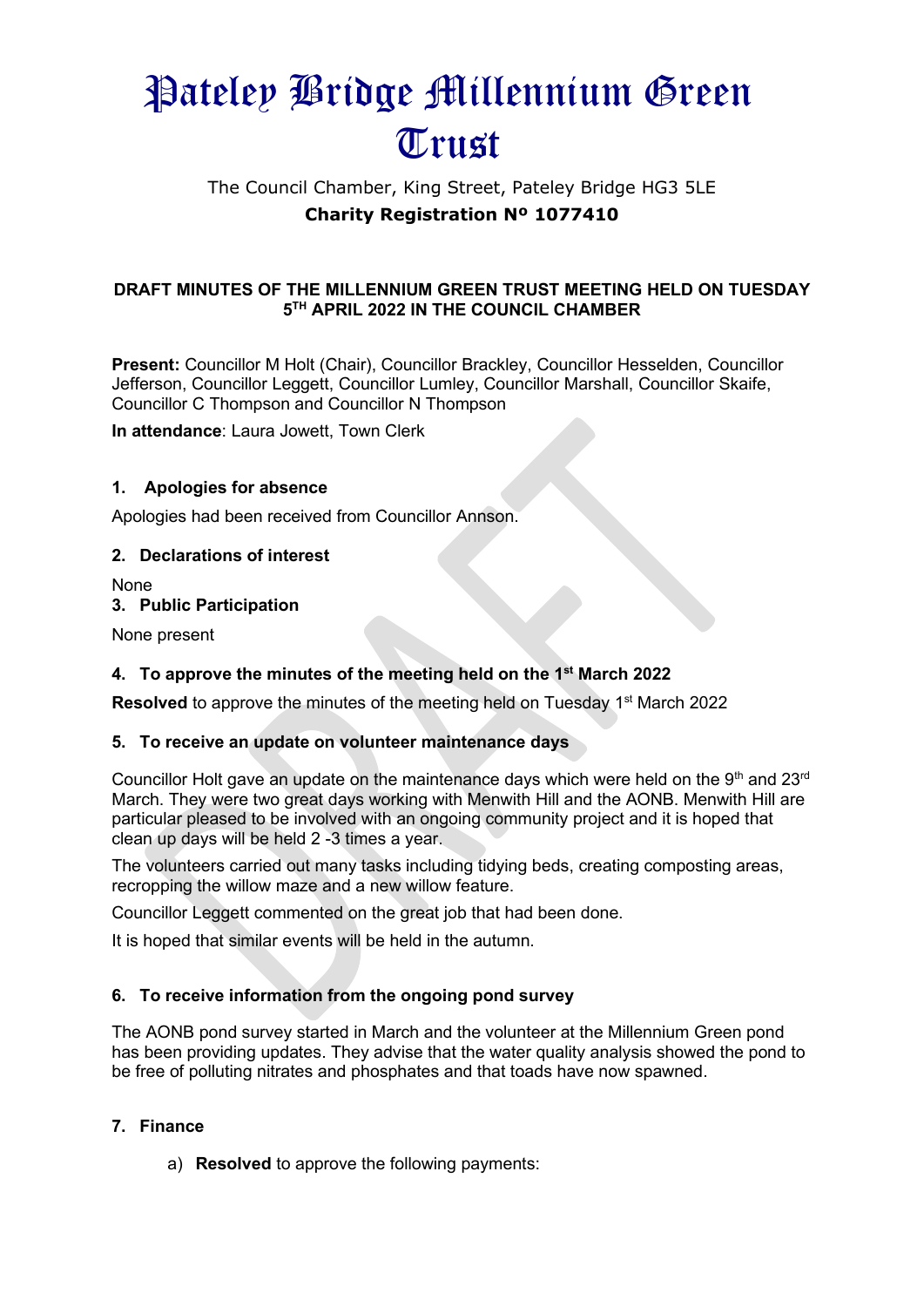# Pateley Bridge Millennium Green Trust

## The Council Chamber, King Street, Pateley Bridge HG3 5LE **Charity Registration Nº 1077410**

#### **DRAFT MINUTES OF THE MILLENNIUM GREEN TRUST MEETING HELD ON TUESDAY 5 TH APRIL 2022 IN THE COUNCIL CHAMBER**

**Present:** Councillor M Holt (Chair), Councillor Brackley, Councillor Hesselden, Councillor Jefferson, Councillor Leggett, Councillor Lumley, Councillor Marshall, Councillor Skaife, Councillor C Thompson and Councillor N Thompson

**In attendance**: Laura Jowett, Town Clerk

#### **1. Apologies for absence**

Apologies had been received from Councillor Annson.

#### **2. Declarations of interest**

None

#### **3. Public Participation**

None present

#### **4. To approve the minutes of the meeting held on the 1 st March 2022**

**Resolved** to approve the minutes of the meeting held on Tuesday 1<sup>st</sup> March 2022

#### **5. To receive an update on volunteer maintenance days**

Councillor Holt gave an update on the maintenance days which were held on the 9<sup>th</sup> and 23<sup>rd</sup> March. They were two great days working with Menwith Hill and the AONB. Menwith Hill are particular pleased to be involved with an ongoing community project and it is hoped that clean up days will be held 2 -3 times a year.

The volunteers carried out many tasks including tidying beds, creating composting areas, recropping the willow maze and a new willow feature.

Councillor Leggett commented on the great job that had been done.

It is hoped that similar events will be held in the autumn.

#### **6. To receive information from the ongoing pond survey**

The AONB pond survey started in March and the volunteer at the Millennium Green pond has been providing updates. They advise that the water quality analysis showed the pond to be free of polluting nitrates and phosphates and that toads have now spawned.

#### **7. Finance**

a) **Resolved** to approve the following payments: